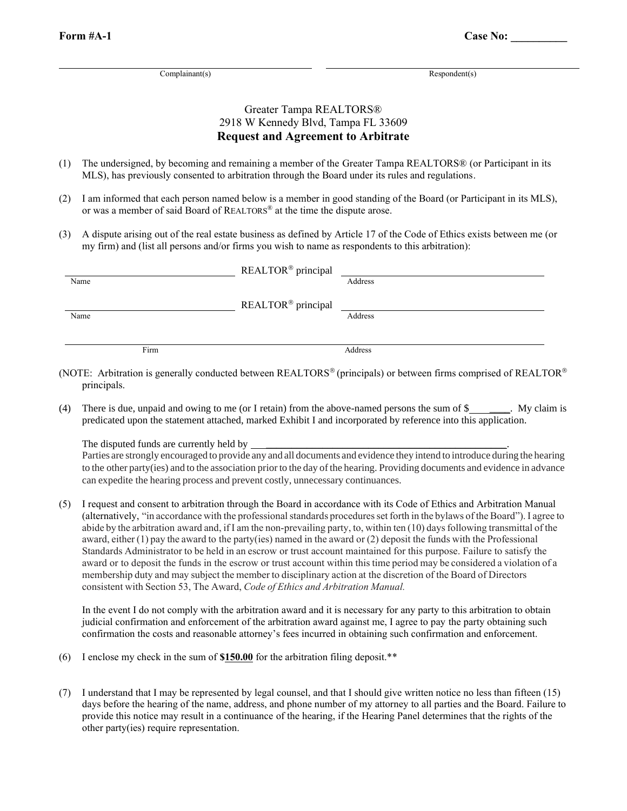Complainant(s) Respondent(s)

### Greater Tampa REALTORS® 2918 W Kennedy Blvd, Tampa FL 33609 **Request and Agreement to Arbitrate**

- (1) The undersigned, by becoming and remaining a member of the Greater Tampa REALTORS® (or Participant in its MLS), has previously consented to arbitration through the Board under its rules and regulations.
- (2) I am informed that each person named below is a member in good standing of the Board (or Participant in its MLS), or was a member of said Board of REALTORS® at the time the dispute arose.
- (3) A dispute arising out of the real estate business as defined by Article 17 of the Code of Ethics exists between me (or my firm) and (list all persons and/or firms you wish to name as respondents to this arbitration):

| Name |      | REALTOR <sup>®</sup> principal | Address |
|------|------|--------------------------------|---------|
| Name |      | REALTOR <sup>®</sup> principal | Address |
|      | Firm |                                | Address |

- (NOTE: Arbitration is generally conducted between REALTORS<sup>®</sup> (principals) or between firms comprised of REALTOR<sup>®</sup> principals.
- (4) There is due, unpaid and owing to me (or I retain) from the above-named persons the sum of \$ predicated upon the statement attached, marked Exhibit I and incorporated by reference into this application.

The disputed funds are currently held by \_\_\_\_\_\_\_\_\_\_\_\_\_\_\_\_\_\_\_\_\_\_\_\_\_\_\_\_\_\_\_\_\_\_\_\_\_\_\_\_\_\_\_\_\_\_\_.

Parties are strongly encouraged to provide any and all documents and evidence they intend to introduce during the hearing to the other party(ies) and to the association prior to the day ofthe hearing. Providing documents and evidence in advance can expedite the hearing process and prevent costly, unnecessary continuances.

(5) I request and consent to arbitration through the Board in accordance with its Code of Ethics and Arbitration Manual (alternatively, "in accordance with the professionalstandards proceduresset forth in the bylaws of the Board"). I agree to abide by the arbitration award and, if I am the non-prevailing party, to, within ten (10) days following transmittal of the award, either (1) pay the award to the party(ies) named in the award or (2) deposit the funds with the Professional Standards Administrator to be held in an escrow or trust account maintained for this purpose. Failure to satisfy the award or to deposit the funds in the escrow or trust account within thistime period may be considered a violation of a membership duty and may subject the member to disciplinary action at the discretion of the Board of Directors consistent with Section 53, The Award, *Code of Ethics and Arbitration Manual.*

In the event I do not comply with the arbitration award and it is necessary for any party to this arbitration to obtain judicial confirmation and enforcement of the arbitration award against me, I agree to pay the party obtaining such confirmation the costs and reasonable attorney's fees incurred in obtaining such confirmation and enforcement.

- (6) I enclose my check in the sum of **\$150.00** for the arbitration filing deposit.\*\*
- (7) I understand that I may be represented by legal counsel, and that I should give written notice no less than fifteen (15) days before the hearing of the name, address, and phone number of my attorney to all parties and the Board. Failure to provide this notice may result in a continuance of the hearing, if the Hearing Panel determines that the rights of the other party(ies) require representation.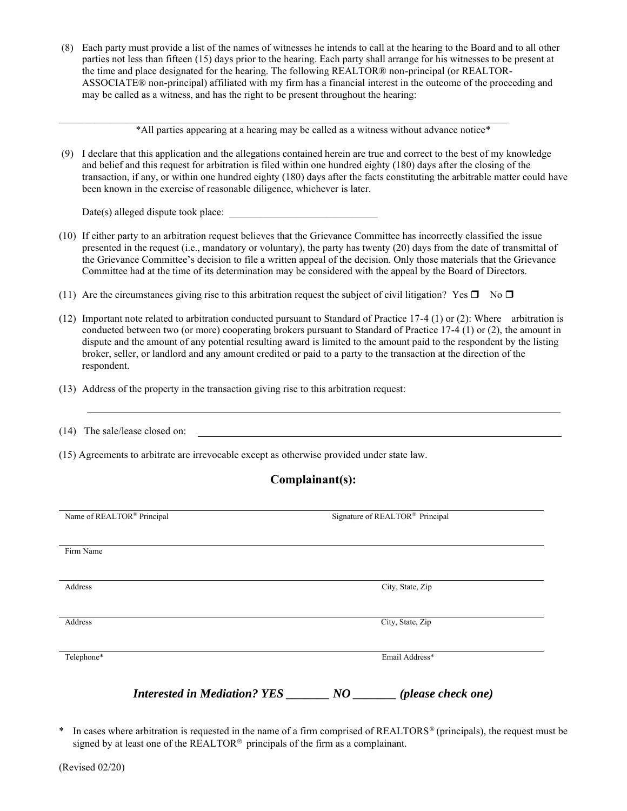(8) Each party must provide a list of the names of witnesses he intends to call at the hearing to the Board and to all other parties not less than fifteen (15) days prior to the hearing. Each party shall arrange for his witnesses to be present at the time and place designated for the hearing. The following REALTOR® non-principal (or REALTOR-ASSOCIATE® non-principal) affiliated with my firm has a financial interest in the outcome of the proceeding and may be called as a witness, and has the right to be present throughout the hearing:

\*All parties appearing at a hearing may be called as a witness without advance notice\*

 $\mathcal{L}_\text{max}$ 

(9) I declare that this application and the allegations contained herein are true and correct to the best of my knowledge and belief and this request for arbitration is filed within one hundred eighty (180) days after the closing of the transaction, if any, or within one hundred eighty (180) days after the facts constituting the arbitrable matter could have been known in the exercise of reasonable diligence, whichever is later.

 $Date(s)$  alleged dispute took place:

- (10) If either party to an arbitration request believes that the Grievance Committee has incorrectly classified the issue presented in the request (i.e., mandatory or voluntary), the party has twenty (20) days from the date of transmittal of the Grievance Committee's decision to file a written appeal of the decision. Only those materials that the Grievance Committee had at the time of its determination may be considered with the appeal by the Board of Directors.
- (11) Are the circumstances giving rise to this arbitration request the subject of civil litigation? Yes  $\Box$  No  $\Box$
- (12) Important note related to arbitration conducted pursuant to Standard of Practice 17-4 (1) or (2): Where arbitration is conducted between two (or more) cooperating brokers pursuant to Standard of Practice 17-4 (1) or (2), the amount in dispute and the amount of any potential resulting award is limited to the amount paid to the respondent by the listing broker, seller, or landlord and any amount credited or paid to a party to the transaction at the direction of the respondent.
- (13) Address of the property in the transaction giving rise to this arbitration request:
- (14) The sale/lease closed on:
- (15) Agreements to arbitrate are irrevocable except as otherwise provided under state law.

### **Complainant(s):**

| Name of REALTOR <sup>®</sup> Principal |                                     | Signature of REALTOR® Principal |
|----------------------------------------|-------------------------------------|---------------------------------|
| Firm Name                              |                                     |                                 |
| Address                                |                                     | City, State, Zip                |
| Address                                |                                     | City, State, Zip                |
|                                        |                                     |                                 |
| Telephone*                             |                                     | Email Address*                  |
|                                        | <b>Interested in Mediation? YES</b> | (please check one)<br>$N\bm{O}$ |

\* In cases where arbitration is requested in the name of a firm comprised of REALTORS<sup>®</sup> (principals), the request must be signed by at least one of the REALTOR<sup>®</sup> principals of the firm as a complainant.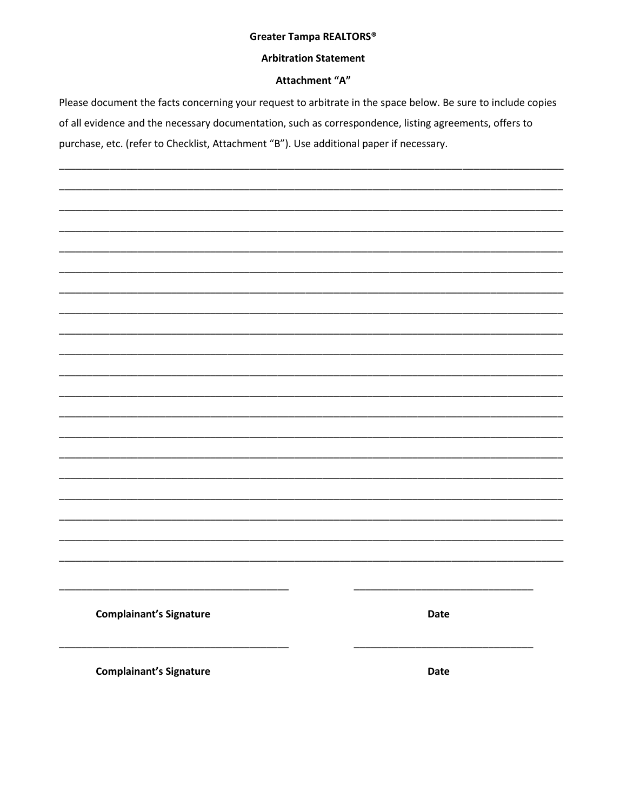### Greater Tampa REALTORS®

### **Arbitration Statement**

### Attachment "A"

Please document the facts concerning your request to arbitrate in the space below. Be sure to include copies of all evidence and the necessary documentation, such as correspondence, listing agreements, offers to purchase, etc. (refer to Checklist, Attachment "B"). Use additional paper if necessary.

**Complainant's Signature** 

**Complainant's Signature** 

Date

**Date**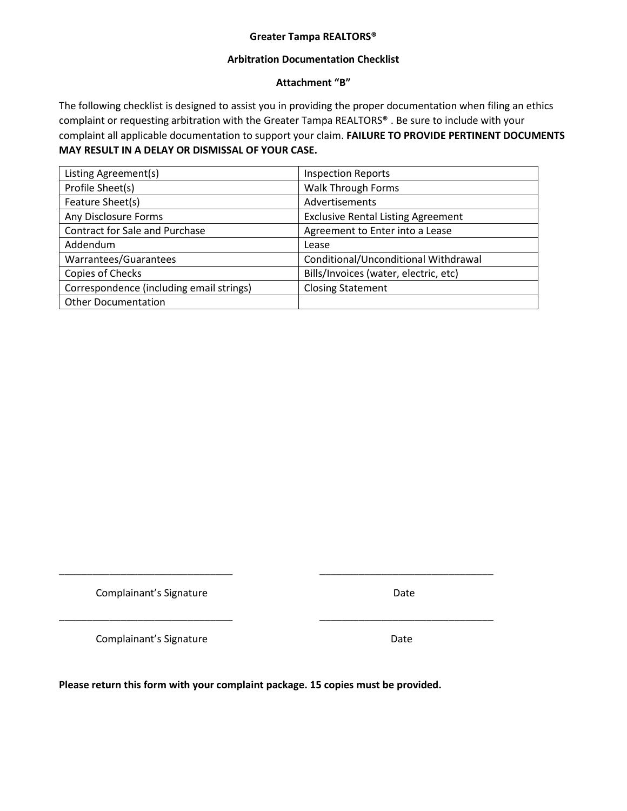### **Greater Tampa REALTORS®**

### **Arbitration Documentation Checklist**

### **Attachment "B"**

The following checklist is designed to assist you in providing the proper documentation when filing an ethics complaint or requesting arbitration with the Greater Tampa REALTORS® . Be sure to include with your complaint all applicable documentation to support your claim. **FAILURE TO PROVIDE PERTINENT DOCUMENTS MAY RESULT IN A DELAY OR DISMISSAL OF YOUR CASE.** 

| Listing Agreement(s)                     | <b>Inspection Reports</b>                 |  |  |
|------------------------------------------|-------------------------------------------|--|--|
| Profile Sheet(s)                         | <b>Walk Through Forms</b>                 |  |  |
| Feature Sheet(s)                         | Advertisements                            |  |  |
| Any Disclosure Forms                     | <b>Exclusive Rental Listing Agreement</b> |  |  |
| Contract for Sale and Purchase           | Agreement to Enter into a Lease           |  |  |
| Addendum                                 | Lease                                     |  |  |
| Warrantees/Guarantees                    | Conditional/Unconditional Withdrawal      |  |  |
| Copies of Checks                         | Bills/Invoices (water, electric, etc)     |  |  |
| Correspondence (including email strings) | <b>Closing Statement</b>                  |  |  |
| <b>Other Documentation</b>               |                                           |  |  |

Complainant's Signature **Date** Date

Complainant's Signature **Date** Date

**Please return this form with your complaint package. 15 copies must be provided.**

\_\_\_\_\_\_\_\_\_\_\_\_\_\_\_\_\_\_\_\_\_\_\_\_\_\_\_\_\_\_\_ \_\_\_\_\_\_\_\_\_\_\_\_\_\_\_\_\_\_\_\_\_\_\_\_\_\_\_\_\_\_\_

\_\_\_\_\_\_\_\_\_\_\_\_\_\_\_\_\_\_\_\_\_\_\_\_\_\_\_\_\_\_\_ \_\_\_\_\_\_\_\_\_\_\_\_\_\_\_\_\_\_\_\_\_\_\_\_\_\_\_\_\_\_\_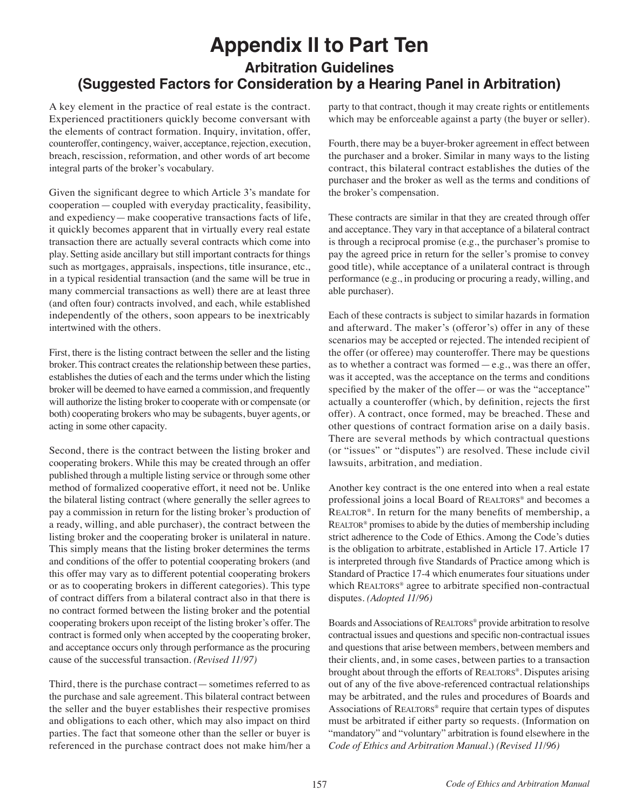# **Appendix II to Part Ten Arbitration Guidelines (Suggested Factors for Consideration by a Hearing Panel in Arbitration)**

A key element in the practice of real estate is the contract. Experienced practitioners quickly become conversant with the elements of contract formation. Inquiry, invitation, offer, counteroffer, contingency, waiver, acceptance, rejection, execution, breach, rescission, reformation, and other words of art become integral parts of the broker's vocabulary.

Given the significant degree to which Article 3's mandate for cooperation—coupled with everyday practicality, feasibility, and expediency—make cooperative transactions facts of life, it quickly becomes apparent that in virtually every real estate transaction there are actually several contracts which come into play. Setting aside ancillary but still important contracts for things such as mortgages, appraisals, inspections, title insurance, etc., in a typical residential transaction (and the same will be true in many commercial transactions as well) there are at least three (and often four) contracts involved, and each, while established independently of the others, soon appears to be inextricably intertwined with the others.

First, there is the listing contract between the seller and the listing broker. This contract creates the relationship between these parties, establishes the duties of each and the terms under which the listing broker will be deemed to have earned a commission, and frequently will authorize the listing broker to cooperate with or compensate (or both) cooperating brokers who may be subagents, buyer agents, or acting in some other capacity.

Second, there is the contract between the listing broker and cooperating brokers. While this may be created through an offer published through a multiple listing service or through some other method of formalized cooperative effort, it need not be. Unlike the bilateral listing contract (where generally the seller agrees to pay a commission in return for the listing broker's production of a ready, willing, and able purchaser), the contract between the listing broker and the cooperating broker is unilateral in nature. This simply means that the listing broker determines the terms and conditions of the offer to potential cooperating brokers (and this offer may vary as to different potential cooperating brokers or as to cooperating brokers in different categories). This type of contract differs from a bilateral contract also in that there is no contract formed between the listing broker and the potential cooperating brokers upon receipt of the listing broker's offer. The contract is formed only when accepted by the cooperating broker, and acceptance occurs only through performance as the procuring cause of the successful transaction. *(Revised 11/97)*

Third, there is the purchase contract—sometimes referred to as the purchase and sale agreement. This bilateral contract between the seller and the buyer establishes their respective promises and obligations to each other, which may also impact on third parties. The fact that someone other than the seller or buyer is referenced in the purchase contract does not make him/her a party to that contract, though it may create rights or entitlements which may be enforceable against a party (the buyer or seller).

Fourth, there may be a buyer-broker agreement in effect between the purchaser and a broker. Similar in many ways to the listing contract, this bilateral contract establishes the duties of the purchaser and the broker as well as the terms and conditions of the broker's compensation.

These contracts are similar in that they are created through offer and acceptance. They vary in that acceptance of a bilateral contract is through a reciprocal promise (e.g., the purchaser's promise to pay the agreed price in return for the seller's promise to convey good title), while acceptance of a unilateral contract is through performance (e.g., in producing or procuring a ready, willing, and able purchaser).

Each of these contracts is subject to similar hazards in formation and afterward. The maker's (offeror's) offer in any of these scenarios may be accepted or rejected. The intended recipient of the offer (or offeree) may counteroffer. There may be questions as to whether a contract was formed  $-e.g.,$  was there an offer, was it accepted, was the acceptance on the terms and conditions specified by the maker of the offer—or was the "acceptance" actually a counteroffer (which, by definition, rejects the first offer). A contract, once formed, may be breached. These and other questions of contract formation arise on a daily basis. There are several methods by which contractual questions (or "issues" or "disputes") are resolved. These include civil lawsuits, arbitration, and mediation.

Another key contract is the one entered into when a real estate professional joins a local Board of REALTORS<sup>®</sup> and becomes a REALTOR®. In return for the many benefits of membership, a REALTOR<sup>®</sup> promises to abide by the duties of membership including strict adherence to the Code of Ethics. Among the Code's duties is the obligation to arbitrate, established in Article 17. Article 17 is interpreted through five Standards of Practice among which is Standard of Practice 17-4 which enumerates four situations under which REALTORS® agree to arbitrate specified non-contractual disputes. *(Adopted 11/96)*

Boards and Associations of REALTORS® provide arbitration to resolve contractual issues and questions and specific non-contractual issues and questions that arise between members, between members and their clients, and, in some cases, between parties to a transaction brought about through the efforts of REALTORS®. Disputes arising out of any of the five above-referenced contractual relationships may be arbitrated, and the rules and procedures of Boards and Associations of REALTORS<sup>®</sup> require that certain types of disputes must be arbitrated if either party so requests. (Information on "mandatory" and "voluntary" arbitration is found elsewhere in the *Code of Ethics and Arbitration Manual.*) *(Revised 11/96)*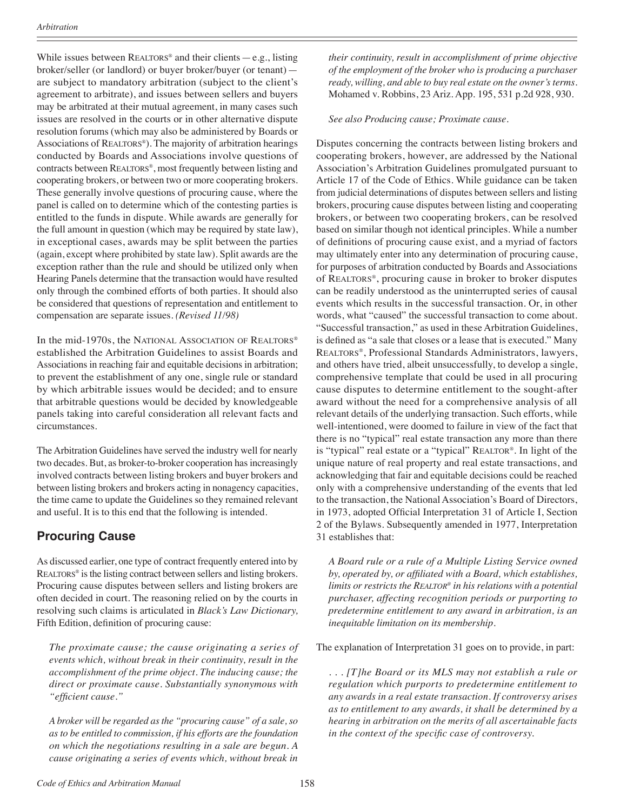While issues between  $REALTORS^*$  and their clients — e.g., listing broker/seller (or landlord) or buyer broker/buyer (or tenant) are subject to mandatory arbitration (subject to the client's agreement to arbitrate), and issues between sellers and buyers may be arbitrated at their mutual agreement, in many cases such issues are resolved in the courts or in other alternative dispute resolution forums (which may also be administered by Boards or Associations of REALTORS<sup>®</sup>). The majority of arbitration hearings conducted by Boards and Associations involve questions of contracts between REALTORS®, most frequently between listing and cooperating brokers, or between two or more cooperating brokers. These generally involve questions of procuring cause, where the panel is called on to determine which of the contesting parties is entitled to the funds in dispute. While awards are generally for the full amount in question (which may be required by state law), in exceptional cases, awards may be split between the parties (again, except where prohibited by state law). Split awards are the exception rather than the rule and should be utilized only when Hearing Panels determine that the transaction would have resulted only through the combined efforts of both parties. It should also be considered that questions of representation and entitlement to compensation are separate issues. *(Revised 11/98)*

In the mid-1970s, the NATIONAL ASSOCIATION OF REALTORS<sup>®</sup> established the Arbitration Guidelines to assist Boards and Associations in reaching fair and equitable decisions in arbitration; to prevent the establishment of any one, single rule or standard by which arbitrable issues would be decided; and to ensure that arbitrable questions would be decided by knowledgeable panels taking into careful consideration all relevant facts and circumstances.

The Arbitration Guidelines have served the industry well for nearly two decades. But, as broker-to-broker cooperation has increasingly involved contracts between listing brokers and buyer brokers and between listing brokers and brokers acting in nonagency capacities, the time came to update the Guidelines so they remained relevant and useful. It is to this end that the following is intended.

# **Procuring Cause**

As discussed earlier, one type of contract frequently entered into by REALTORS<sup>®</sup> is the listing contract between sellers and listing brokers. Procuring cause disputes between sellers and listing brokers are often decided in court. The reasoning relied on by the courts in resolving such claims is articulated in *Black's Law Dictionary,* Fifth Edition, definition of procuring cause:

*The proximate cause; the cause originating a series of events which, without break in their continuity, result in the accomplishment of the prime object. The inducing cause; the direct or proximate cause. Substantially synonymous with "efficient cause."*

*A broker will be regarded as the "procuring cause" of a sale, so as to be entitled to commission, if his efforts are the foundation on which the negotiations resulting in a sale are begun. A cause originating a series of events which, without break in*  *their continuity, result in accomplishment of prime objective of the employment of the broker who is producing a purchaser ready, willing, and able to buy real estate on the owner's terms.*  Mohamed v. Robbins, 23 Ariz. App. 195, 531 p.2d 928, 930.

#### *See also Producing cause; Proximate cause.*

Disputes concerning the contracts between listing brokers and cooperating brokers, however, are addressed by the National Association's Arbitration Guidelines promulgated pursuant to Article 17 of the Code of Ethics. While guidance can be taken from judicial determinations of disputes between sellers and listing brokers, procuring cause disputes between listing and cooperating brokers, or between two cooperating brokers, can be resolved based on similar though not identical principles. While a number of definitions of procuring cause exist, and a myriad of factors may ultimately enter into any determination of procuring cause, for purposes of arbitration conducted by Boards and Associations of Realtors®, procuring cause in broker to broker disputes can be readily understood as the uninterrupted series of causal events which results in the successful transaction. Or, in other words, what "caused" the successful transaction to come about. "Successful transaction," as used in these Arbitration Guidelines, is defined as "a sale that closes or a lease that is executed." Many Realtors®, Professional Standards Administrators, lawyers, and others have tried, albeit unsuccessfully, to develop a single, comprehensive template that could be used in all procuring cause disputes to determine entitlement to the sought-after award without the need for a comprehensive analysis of all relevant details of the underlying transaction. Such efforts, while well-intentioned, were doomed to failure in view of the fact that there is no "typical" real estate transaction any more than there is "typical" real estate or a "typical" REALTOR®. In light of the unique nature of real property and real estate transactions, and acknowledging that fair and equitable decisions could be reached only with a comprehensive understanding of the events that led to the transaction, the National Association's Board of Directors, in 1973, adopted Official Interpretation 31 of Article I, Section 2 of the Bylaws. Subsequently amended in 1977, Interpretation 31 establishes that:

*A Board rule or a rule of a Multiple Listing Service owned by, operated by, or affiliated with a Board, which establishes, limits or restricts the Realtor® in his relations with a potential purchaser, affecting recognition periods or purporting to predetermine entitlement to any award in arbitration, is an inequitable limitation on its membership.*

The explanation of Interpretation 31 goes on to provide, in part:

*. . . [T]he Board or its MLS may not establish a rule or regulation which purports to predetermine entitlement to any awards in a real estate transaction. If controversy arises as to entitlement to any awards, it shall be determined by a hearing in arbitration on the merits of all ascertainable facts in the context of the specific case of controversy.*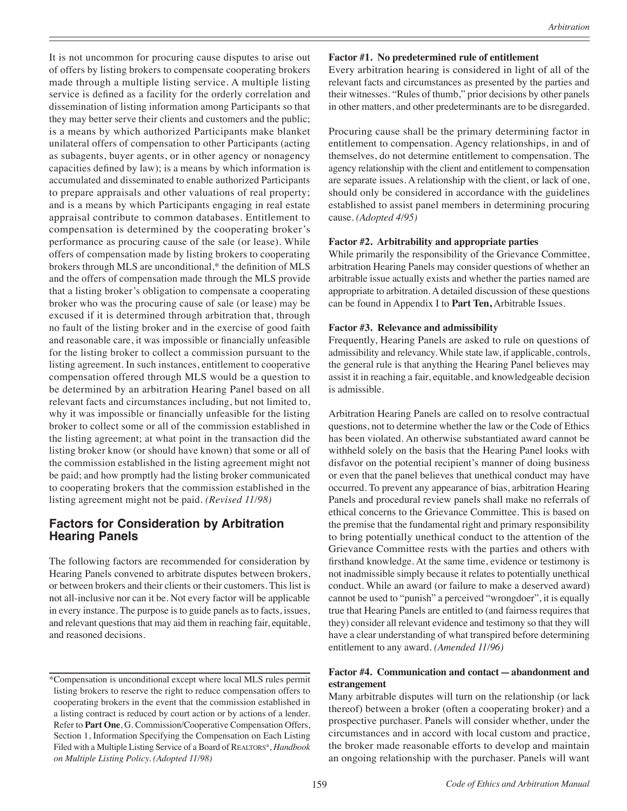It is not uncommon for procuring cause disputes to arise out of offers by listing brokers to compensate cooperating brokers made through a multiple listing service. A multiple listing service is defined as a facility for the orderly correlation and dissemination of listing information among Participants so that they may better serve their clients and customers and the public; is a means by which authorized Participants make blanket unilateral offers of compensation to other Participants (acting as subagents, buyer agents, or in other agency or nonagency capacities defined by law); is a means by which information is accumulated and disseminated to enable authorized Participants to prepare appraisals and other valuations of real property; and is a means by which Participants engaging in real estate appraisal contribute to common databases. Entitlement to compensation is determined by the cooperating broker's performance as procuring cause of the sale (or lease). While offers of compensation made by listing brokers to cooperating brokers through MLS are unconditional,\* the definition of MLS and the offers of compensation made through the MLS provide that a listing broker's obligation to compensate a cooperating broker who was the procuring cause of sale (or lease) may be excused if it is determined through arbitration that, through no fault of the listing broker and in the exercise of good faith and reasonable care, it was impossible or financially unfeasible for the listing broker to collect a commission pursuant to the listing agreement. In such instances, entitlement to cooperative compensation offered through MLS would be a question to be determined by an arbitration Hearing Panel based on all relevant facts and circumstances including, but not limited to, why it was impossible or financially unfeasible for the listing broker to collect some or all of the commission established in the listing agreement; at what point in the transaction did the listing broker know (or should have known) that some or all of the commission established in the listing agreement might not be paid; and how promptly had the listing broker communicated to cooperating brokers that the commission established in the listing agreement might not be paid. *(Revised 11/98)*

### **Factors for Consideration by Arbitration Hearing Panels**

The following factors are recommended for consideration by Hearing Panels convened to arbitrate disputes between brokers, or between brokers and their clients or their customers. This list is not all-inclusive nor can it be. Not every factor will be applicable in every instance. The purpose is to guide panels as to facts, issues, and relevant questions that may aid them in reaching fair, equitable, and reasoned decisions.

#### **Factor #1. No predetermined rule of entitlement**

Every arbitration hearing is considered in light of all of the relevant facts and circumstances as presented by the parties and their witnesses. "Rules of thumb," prior decisions by other panels in other matters, and other predeterminants are to be disregarded.

Procuring cause shall be the primary determining factor in entitlement to compensation. Agency relationships, in and of themselves, do not determine entitlement to compensation. The agency relationship with the client and entitlement to compensation are separate issues. A relationship with the client, or lack of one, should only be considered in accordance with the guidelines established to assist panel members in determining procuring cause. *(Adopted 4/95)*

#### **Factor #2. Arbitrability and appropriate parties**

While primarily the responsibility of the Grievance Committee, arbitration Hearing Panels may consider questions of whether an arbitrable issue actually exists and whether the parties named are appropriate to arbitration. A detailed discussion of these questions can be found in Appendix I to **Part Ten,** Arbitrable Issues.

#### **Factor #3. Relevance and admissibility**

Frequently, Hearing Panels are asked to rule on questions of admissibility and relevancy. While state law, if applicable, controls, the general rule is that anything the Hearing Panel believes may assist it in reaching a fair, equitable, and knowledgeable decision is admissible.

Arbitration Hearing Panels are called on to resolve contractual questions, not to determine whether the law or the Code of Ethics has been violated. An otherwise substantiated award cannot be withheld solely on the basis that the Hearing Panel looks with disfavor on the potential recipient's manner of doing business or even that the panel believes that unethical conduct may have occurred. To prevent any appearance of bias, arbitration Hearing Panels and procedural review panels shall make no referrals of ethical concerns to the Grievance Committee. This is based on the premise that the fundamental right and primary responsibility to bring potentially unethical conduct to the attention of the Grievance Committee rests with the parties and others with firsthand knowledge. At the same time, evidence or testimony is not inadmissible simply because it relates to potentially unethical conduct. While an award (or failure to make a deserved award) cannot be used to "punish" a perceived "wrongdoer", it is equally true that Hearing Panels are entitled to (and fairness requires that they) consider all relevant evidence and testimony so that they will have a clear understanding of what transpired before determining entitlement to any award. *(Amended 11/96)*

#### **Factor #4. Communication and contact—abandonment and estrangement**

Many arbitrable disputes will turn on the relationship (or lack thereof) between a broker (often a cooperating broker) and a prospective purchaser. Panels will consider whether, under the circumstances and in accord with local custom and practice, the broker made reasonable efforts to develop and maintain an ongoing relationship with the purchaser. Panels will want

<sup>\*</sup>Compensation is unconditional except where local MLS rules permit listing brokers to reserve the right to reduce compensation offers to cooperating brokers in the event that the commission established in a listing contract is reduced by court action or by actions of a lender. Refer to **Part One**, G. Commission/Cooperative Compensation Offers, Section 1, Information Specifying the Compensation on Each Listing Filed with a Multiple Listing Service of a Board of REALTORS®, *Handbook on Multiple Listing Policy. (Adopted 11/98)*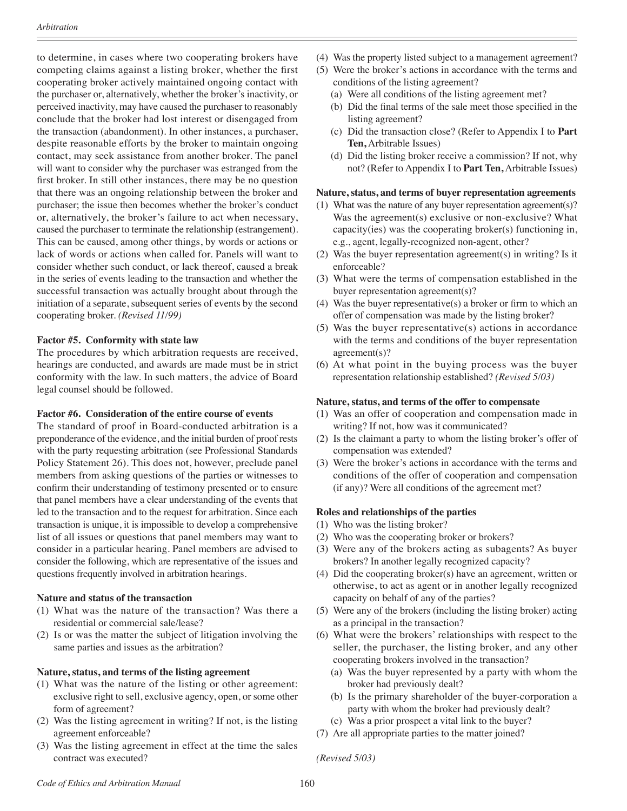to determine, in cases where two cooperating brokers have competing claims against a listing broker, whether the first cooperating broker actively maintained ongoing contact with the purchaser or, alternatively, whether the broker's inactivity, or perceived inactivity, may have caused the purchaser to reasonably conclude that the broker had lost interest or disengaged from the transaction (abandonment). In other instances, a purchaser, despite reasonable efforts by the broker to maintain ongoing contact, may seek assistance from another broker. The panel will want to consider why the purchaser was estranged from the first broker. In still other instances, there may be no question that there was an ongoing relationship between the broker and purchaser; the issue then becomes whether the broker's conduct or, alternatively, the broker's failure to act when necessary, caused the purchaser to terminate the relationship (estrangement). This can be caused, among other things, by words or actions or lack of words or actions when called for. Panels will want to consider whether such conduct, or lack thereof, caused a break in the series of events leading to the transaction and whether the successful transaction was actually brought about through the initiation of a separate, subsequent series of events by the second cooperating broker. *(Revised 11/99)*

#### **Factor #5. Conformity with state law**

The procedures by which arbitration requests are received, hearings are conducted, and awards are made must be in strict conformity with the law. In such matters, the advice of Board legal counsel should be followed.

#### **Factor #6. Consideration of the entire course of events**

The standard of proof in Board-conducted arbitration is a preponderance of the evidence, and the initial burden of proof rests with the party requesting arbitration (see Professional Standards Policy Statement 26). This does not, however, preclude panel members from asking questions of the parties or witnesses to confirm their understanding of testimony presented or to ensure that panel members have a clear understanding of the events that led to the transaction and to the request for arbitration. Since each transaction is unique, it is impossible to develop a comprehensive list of all issues or questions that panel members may want to consider in a particular hearing. Panel members are advised to consider the following, which are representative of the issues and questions frequently involved in arbitration hearings.

#### **Nature and status of the transaction**

- (1) What was the nature of the transaction? Was there a residential or commercial sale/lease?
- (2) Is or was the matter the subject of litigation involving the same parties and issues as the arbitration?

#### **Nature, status, and terms of the listing agreement**

- (1) What was the nature of the listing or other agreement: exclusive right to sell, exclusive agency, open, or some other form of agreement?
- (2) Was the listing agreement in writing? If not, is the listing agreement enforceable?
- (3) Was the listing agreement in effect at the time the sales contract was executed?
- (4) Was the property listed subject to a management agreement?
- (5) Were the broker's actions in accordance with the terms and conditions of the listing agreement?
	- (a) Were all conditions of the listing agreement met?
	- (b) Did the final terms of the sale meet those specified in the listing agreement?
	- (c) Did the transaction close? (Refer to Appendix I to **Part Ten,** Arbitrable Issues)
	- (d) Did the listing broker receive a commission? If not, why not? (Refer to Appendix I to **Part Ten,** Arbitrable Issues)

#### **Nature, status, and terms of buyer representation agreements**

- (1) What was the nature of any buyer representation agreement(s)? Was the agreement(s) exclusive or non-exclusive? What capacity(ies) was the cooperating broker(s) functioning in, e.g., agent, legally-recognized non-agent, other?
- (2) Was the buyer representation agreement(s) in writing? Is it enforceable?
- (3) What were the terms of compensation established in the buyer representation agreement(s)?
- (4) Was the buyer representative(s) a broker or firm to which an offer of compensation was made by the listing broker?
- (5) Was the buyer representative(s) actions in accordance with the terms and conditions of the buyer representation agreement(s)?
- (6) At what point in the buying process was the buyer representation relationship established? *(Revised 5/03)*

#### **Nature, status, and terms of the offer to compensate**

- (1) Was an offer of cooperation and compensation made in writing? If not, how was it communicated?
- (2) Is the claimant a party to whom the listing broker's offer of compensation was extended?
- (3) Were the broker's actions in accordance with the terms and conditions of the offer of cooperation and compensation (if any)? Were all conditions of the agreement met?

#### **Roles and relationships of the parties**

- (1) Who was the listing broker?
- (2) Who was the cooperating broker or brokers?
- (3) Were any of the brokers acting as subagents? As buyer brokers? In another legally recognized capacity?
- (4) Did the cooperating broker(s) have an agreement, written or otherwise, to act as agent or in another legally recognized capacity on behalf of any of the parties?
- (5) Were any of the brokers (including the listing broker) acting as a principal in the transaction?
- (6) What were the brokers' relationships with respect to the seller, the purchaser, the listing broker, and any other cooperating brokers involved in the transaction?
	- (a) Was the buyer represented by a party with whom the broker had previously dealt?
	- (b) Is the primary shareholder of the buyer-corporation a party with whom the broker had previously dealt?
	- (c) Was a prior prospect a vital link to the buyer?
- (7) Are all appropriate parties to the matter joined?

*(Revised 5/03)*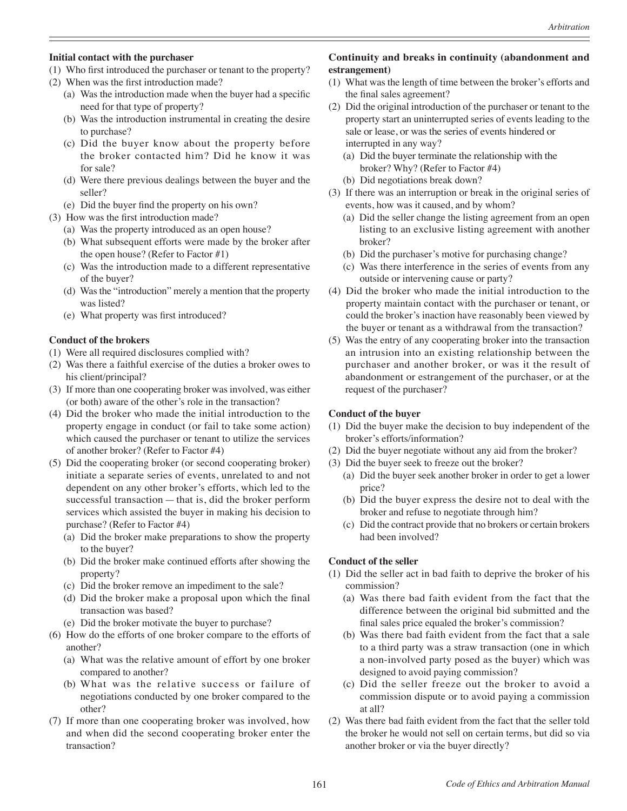#### **Initial contact with the purchaser**

- (1) Who first introduced the purchaser or tenant to the property?
- (2) When was the first introduction made?
	- (a) Was the introduction made when the buyer had a specific need for that type of property?
	- (b) Was the introduction instrumental in creating the desire to purchase?
	- (c) Did the buyer know about the property before the broker contacted him? Did he know it was for sale?
	- (d) Were there previous dealings between the buyer and the seller?
	- (e) Did the buyer find the property on his own?
- (3) How was the first introduction made?
	- (a) Was the property introduced as an open house?
	- (b) What subsequent efforts were made by the broker after the open house? (Refer to Factor #1)
	- (c) Was the introduction made to a different representative of the buyer?
	- (d) Was the "introduction" merely a mention that the property was listed?
	- (e) What property was first introduced?

### **Conduct of the brokers**

- (1) Were all required disclosures complied with?
- (2) Was there a faithful exercise of the duties a broker owes to his client/principal?
- (3) If more than one cooperating broker was involved, was either (or both) aware of the other's role in the transaction?
- (4) Did the broker who made the initial introduction to the property engage in conduct (or fail to take some action) which caused the purchaser or tenant to utilize the services of another broker? (Refer to Factor #4)
- (5) Did the cooperating broker (or second cooperating broker) initiate a separate series of events, unrelated to and not dependent on any other broker's efforts, which led to the successful transaction—that is, did the broker perform services which assisted the buyer in making his decision to purchase? (Refer to Factor #4)
	- (a) Did the broker make preparations to show the property to the buyer?
	- (b) Did the broker make continued efforts after showing the property?
	- (c) Did the broker remove an impediment to the sale?
	- (d) Did the broker make a proposal upon which the final transaction was based?
	- (e) Did the broker motivate the buyer to purchase?
- (6) How do the efforts of one broker compare to the efforts of another?
	- (a) What was the relative amount of effort by one broker compared to another?
	- (b) What was the relative success or failure of negotiations conducted by one broker compared to the other?
- (7) If more than one cooperating broker was involved, how and when did the second cooperating broker enter the transaction?

### **Continuity and breaks in continuity (abandonment and estrangement)**

- (1) What was the length of time between the broker's efforts and the final sales agreement?
- (2) Did the original introduction of the purchaser or tenant to the property start an uninterrupted series of events leading to the sale or lease, or was the series of events hindered or interrupted in any way?
	- (a) Did the buyer terminate the relationship with the broker? Why? (Refer to Factor #4)
	- (b) Did negotiations break down?
- (3) If there was an interruption or break in the original series of events, how was it caused, and by whom?
	- (a) Did the seller change the listing agreement from an open listing to an exclusive listing agreement with another broker?
	- (b) Did the purchaser's motive for purchasing change?
	- (c) Was there interference in the series of events from any outside or intervening cause or party?
- (4) Did the broker who made the initial introduction to the property maintain contact with the purchaser or tenant, or could the broker's inaction have reasonably been viewed by the buyer or tenant as a withdrawal from the transaction?
- (5) Was the entry of any cooperating broker into the transaction an intrusion into an existing relationship between the purchaser and another broker, or was it the result of abandonment or estrangement of the purchaser, or at the request of the purchaser?

### **Conduct of the buyer**

- (1) Did the buyer make the decision to buy independent of the broker's efforts/information?
- (2) Did the buyer negotiate without any aid from the broker?
- (3) Did the buyer seek to freeze out the broker?
	- (a) Did the buyer seek another broker in order to get a lower price?
	- (b) Did the buyer express the desire not to deal with the broker and refuse to negotiate through him?
	- (c) Did the contract provide that no brokers or certain brokers had been involved?

### **Conduct of the seller**

- (1) Did the seller act in bad faith to deprive the broker of his commission?
	- (a) Was there bad faith evident from the fact that the difference between the original bid submitted and the final sales price equaled the broker's commission?
	- (b) Was there bad faith evident from the fact that a sale to a third party was a straw transaction (one in which a non-involved party posed as the buyer) which was designed to avoid paying commission?
	- (c) Did the seller freeze out the broker to avoid a commission dispute or to avoid paying a commission at all?
- (2) Was there bad faith evident from the fact that the seller told the broker he would not sell on certain terms, but did so via another broker or via the buyer directly?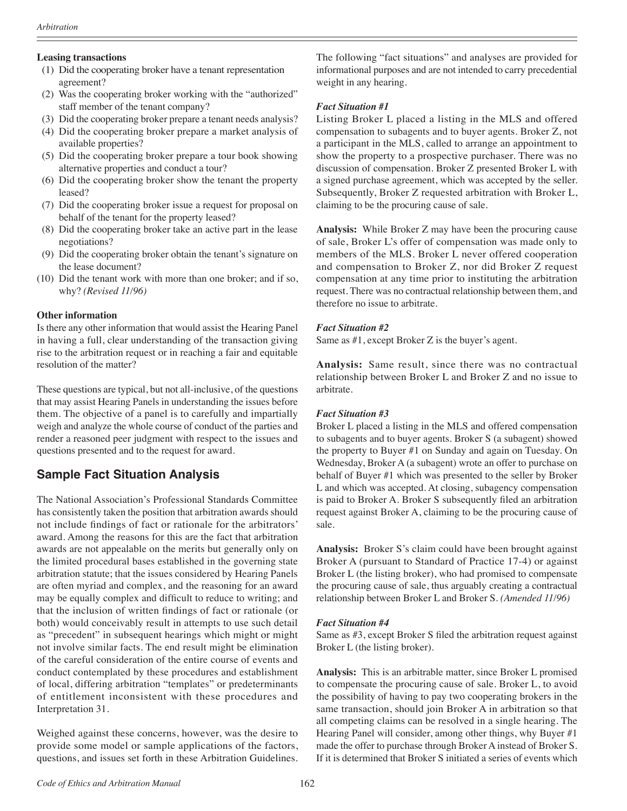#### **Leasing transactions**

- (1) Did the cooperating broker have a tenant representation agreement?
- (2) Was the cooperating broker working with the "authorized" staff member of the tenant company?
- (3) Did the cooperating broker prepare a tenant needs analysis?
- (4) Did the cooperating broker prepare a market analysis of available properties?
- (5) Did the cooperating broker prepare a tour book showing alternative properties and conduct a tour?
- (6) Did the cooperating broker show the tenant the property leased?
- (7) Did the cooperating broker issue a request for proposal on behalf of the tenant for the property leased?
- (8) Did the cooperating broker take an active part in the lease negotiations?
- (9) Did the cooperating broker obtain the tenant's signature on the lease document?
- (10) Did the tenant work with more than one broker; and if so, why? *(Revised 11/96)*

#### **Other information**

Is there any other information that would assist the Hearing Panel in having a full, clear understanding of the transaction giving rise to the arbitration request or in reaching a fair and equitable resolution of the matter?

These questions are typical, but not all-inclusive, of the questions that may assist Hearing Panels in understanding the issues before them. The objective of a panel is to carefully and impartially weigh and analyze the whole course of conduct of the parties and render a reasoned peer judgment with respect to the issues and questions presented and to the request for award.

# **Sample Fact Situation Analysis**

The National Association's Professional Standards Committee has consistently taken the position that arbitration awards should not include findings of fact or rationale for the arbitrators' award. Among the reasons for this are the fact that arbitration awards are not appealable on the merits but generally only on the limited procedural bases established in the governing state arbitration statute; that the issues considered by Hearing Panels are often myriad and complex, and the reasoning for an award may be equally complex and difficult to reduce to writing; and that the inclusion of written findings of fact or rationale (or both) would conceivably result in attempts to use such detail as "precedent" in subsequent hearings which might or might not involve similar facts. The end result might be elimination of the careful consideration of the entire course of events and conduct contemplated by these procedures and establishment of local, differing arbitration "templates" or predeterminants of entitlement inconsistent with these procedures and Interpretation 31.

Weighed against these concerns, however, was the desire to provide some model or sample applications of the factors, questions, and issues set forth in these Arbitration Guidelines. The following "fact situations" and analyses are provided for informational purposes and are not intended to carry precedential weight in any hearing.

### *Fact Situation #1*

Listing Broker L placed a listing in the MLS and offered compensation to subagents and to buyer agents. Broker Z, not a participant in the MLS, called to arrange an appointment to show the property to a prospective purchaser. There was no discussion of compensation. Broker Z presented Broker L with a signed purchase agreement, which was accepted by the seller. Subsequently, Broker Z requested arbitration with Broker L, claiming to be the procuring cause of sale.

**Analysis:** While Broker Z may have been the procuring cause of sale, Broker L's offer of compensation was made only to members of the MLS. Broker L never offered cooperation and compensation to Broker Z, nor did Broker Z request compensation at any time prior to instituting the arbitration request. There was no contractual relationship between them, and therefore no issue to arbitrate.

### *Fact Situation #2*

Same as #1, except Broker Z is the buyer's agent.

**Analysis:** Same result, since there was no contractual relationship between Broker L and Broker Z and no issue to arbitrate.

### *Fact Situation #3*

Broker L placed a listing in the MLS and offered compensation to subagents and to buyer agents. Broker S (a subagent) showed the property to Buyer #1 on Sunday and again on Tuesday. On Wednesday, Broker A (a subagent) wrote an offer to purchase on behalf of Buyer #1 which was presented to the seller by Broker L and which was accepted. At closing, subagency compensation is paid to Broker A. Broker S subsequently filed an arbitration request against Broker A, claiming to be the procuring cause of sale.

**Analysis:** Broker S's claim could have been brought against Broker A (pursuant to Standard of Practice 17-4) or against Broker L (the listing broker), who had promised to compensate the procuring cause of sale, thus arguably creating a contractual relationship between Broker L and Broker S. *(Amended 11/96)*

### *Fact Situation #4*

Same as #3, except Broker S filed the arbitration request against Broker L (the listing broker).

**Analysis:** This is an arbitrable matter, since Broker L promised to compensate the procuring cause of sale. Broker L, to avoid the possibility of having to pay two cooperating brokers in the same transaction, should join Broker A in arbitration so that all competing claims can be resolved in a single hearing. The Hearing Panel will consider, among other things, why Buyer #1 made the offer to purchase through Broker A instead of Broker S. If it is determined that Broker S initiated a series of events which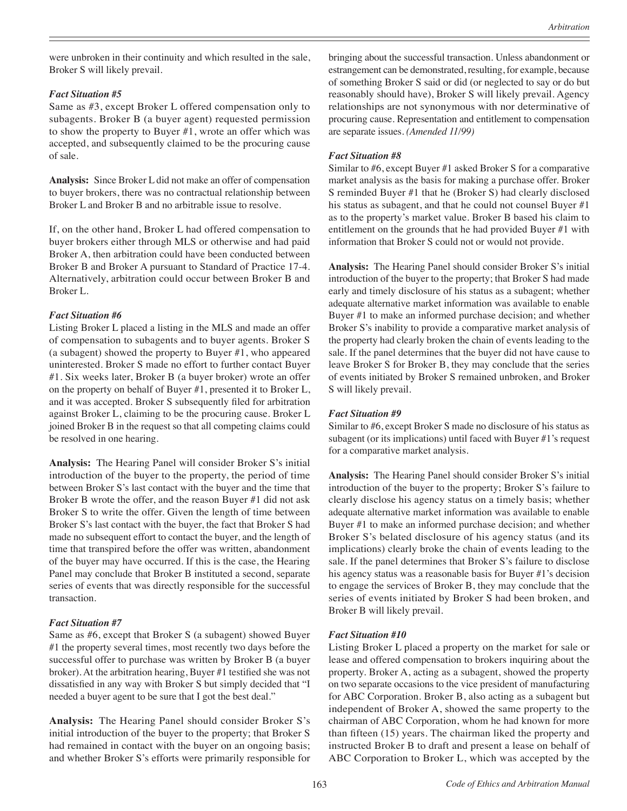were unbroken in their continuity and which resulted in the sale, Broker S will likely prevail.

#### *Fact Situation #5*

Same as #3, except Broker L offered compensation only to subagents. Broker B (a buyer agent) requested permission to show the property to Buyer #1, wrote an offer which was accepted, and subsequently claimed to be the procuring cause of sale.

**Analysis:** Since Broker L did not make an offer of compensation to buyer brokers, there was no contractual relationship between Broker L and Broker B and no arbitrable issue to resolve.

If, on the other hand, Broker L had offered compensation to buyer brokers either through MLS or otherwise and had paid Broker A, then arbitration could have been conducted between Broker B and Broker A pursuant to Standard of Practice 17-4. Alternatively, arbitration could occur between Broker B and Broker L.

#### *Fact Situation #6*

Listing Broker L placed a listing in the MLS and made an offer of compensation to subagents and to buyer agents. Broker S (a subagent) showed the property to Buyer #1, who appeared uninterested. Broker S made no effort to further contact Buyer #1. Six weeks later, Broker B (a buyer broker) wrote an offer on the property on behalf of Buyer #1, presented it to Broker L, and it was accepted. Broker S subsequently filed for arbitration against Broker L, claiming to be the procuring cause. Broker L joined Broker B in the request so that all competing claims could be resolved in one hearing.

**Analysis:** The Hearing Panel will consider Broker S's initial introduction of the buyer to the property, the period of time between Broker S's last contact with the buyer and the time that Broker B wrote the offer, and the reason Buyer #1 did not ask Broker S to write the offer. Given the length of time between Broker S's last contact with the buyer, the fact that Broker S had made no subsequent effort to contact the buyer, and the length of time that transpired before the offer was written, abandonment of the buyer may have occurred. If this is the case, the Hearing Panel may conclude that Broker B instituted a second, separate series of events that was directly responsible for the successful transaction.

#### *Fact Situation #7*

Same as #6, except that Broker S (a subagent) showed Buyer #1 the property several times, most recently two days before the successful offer to purchase was written by Broker B (a buyer broker). At the arbitration hearing, Buyer #1 testified she was not dissatisfied in any way with Broker S but simply decided that "I needed a buyer agent to be sure that I got the best deal."

**Analysis:** The Hearing Panel should consider Broker S's initial introduction of the buyer to the property; that Broker S had remained in contact with the buyer on an ongoing basis; and whether Broker S's efforts were primarily responsible for bringing about the successful transaction. Unless abandonment or estrangement can be demonstrated, resulting, for example, because of something Broker S said or did (or neglected to say or do but reasonably should have), Broker S will likely prevail. Agency relationships are not synonymous with nor determinative of procuring cause. Representation and entitlement to compensation are separate issues. *(Amended 11/99)*

#### *Fact Situation #8*

Similar to #6, except Buyer #1 asked Broker S for a comparative market analysis as the basis for making a purchase offer. Broker S reminded Buyer #1 that he (Broker S) had clearly disclosed his status as subagent, and that he could not counsel Buyer #1 as to the property's market value. Broker B based his claim to entitlement on the grounds that he had provided Buyer #1 with information that Broker S could not or would not provide.

**Analysis:** The Hearing Panel should consider Broker S's initial introduction of the buyer to the property; that Broker S had made early and timely disclosure of his status as a subagent; whether adequate alternative market information was available to enable Buyer #1 to make an informed purchase decision; and whether Broker S's inability to provide a comparative market analysis of the property had clearly broken the chain of events leading to the sale. If the panel determines that the buyer did not have cause to leave Broker S for Broker B, they may conclude that the series of events initiated by Broker S remained unbroken, and Broker S will likely prevail.

#### *Fact Situation #9*

Similar to #6, except Broker S made no disclosure of his status as subagent (or its implications) until faced with Buyer #1's request for a comparative market analysis.

**Analysis:** The Hearing Panel should consider Broker S's initial introduction of the buyer to the property; Broker S's failure to clearly disclose his agency status on a timely basis; whether adequate alternative market information was available to enable Buyer #1 to make an informed purchase decision; and whether Broker S's belated disclosure of his agency status (and its implications) clearly broke the chain of events leading to the sale. If the panel determines that Broker S's failure to disclose his agency status was a reasonable basis for Buyer #1's decision to engage the services of Broker B, they may conclude that the series of events initiated by Broker S had been broken, and Broker B will likely prevail.

#### *Fact Situation #10*

Listing Broker L placed a property on the market for sale or lease and offered compensation to brokers inquiring about the property. Broker A, acting as a subagent, showed the property on two separate occasions to the vice president of manufacturing for ABC Corporation. Broker B, also acting as a subagent but independent of Broker A, showed the same property to the chairman of ABC Corporation, whom he had known for more than fifteen (15) years. The chairman liked the property and instructed Broker B to draft and present a lease on behalf of ABC Corporation to Broker L, which was accepted by the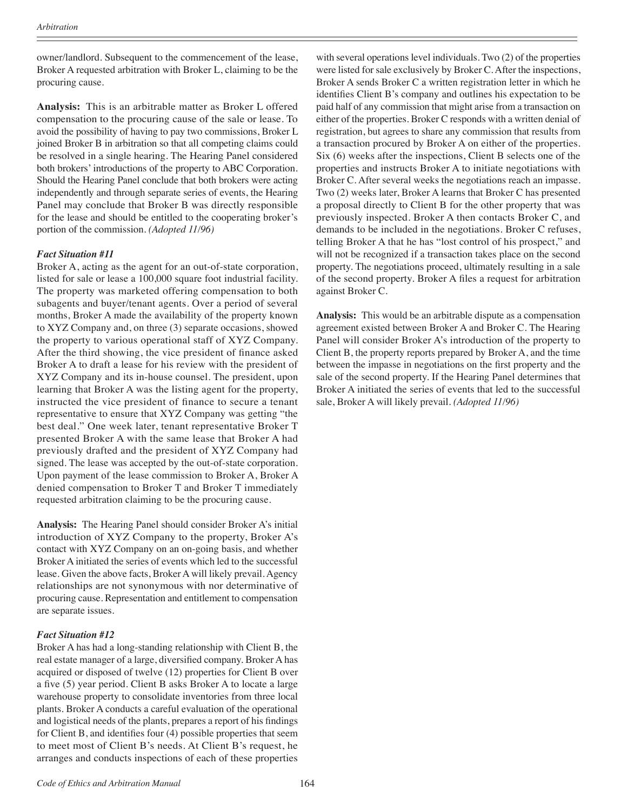owner/landlord. Subsequent to the commencement of the lease, Broker A requested arbitration with Broker L, claiming to be the procuring cause.

**Analysis:** This is an arbitrable matter as Broker L offered compensation to the procuring cause of the sale or lease. To avoid the possibility of having to pay two commissions, Broker L joined Broker B in arbitration so that all competing claims could be resolved in a single hearing. The Hearing Panel considered both brokers' introductions of the property to ABC Corporation. Should the Hearing Panel conclude that both brokers were acting independently and through separate series of events, the Hearing Panel may conclude that Broker B was directly responsible for the lease and should be entitled to the cooperating broker's portion of the commission. *(Adopted 11/96)*

#### *Fact Situation #11*

Broker A, acting as the agent for an out-of-state corporation, listed for sale or lease a 100,000 square foot industrial facility. The property was marketed offering compensation to both subagents and buyer/tenant agents. Over a period of several months, Broker A made the availability of the property known to XYZ Company and, on three (3) separate occasions, showed the property to various operational staff of XYZ Company. After the third showing, the vice president of finance asked Broker A to draft a lease for his review with the president of XYZ Company and its in-house counsel. The president, upon learning that Broker A was the listing agent for the property, instructed the vice president of finance to secure a tenant representative to ensure that XYZ Company was getting "the best deal." One week later, tenant representative Broker T presented Broker A with the same lease that Broker A had previously drafted and the president of XYZ Company had signed. The lease was accepted by the out-of-state corporation. Upon payment of the lease commission to Broker A, Broker A denied compensation to Broker T and Broker T immediately requested arbitration claiming to be the procuring cause.

**Analysis:** The Hearing Panel should consider Broker A's initial introduction of XYZ Company to the property, Broker A's contact with XYZ Company on an on-going basis, and whether Broker A initiated the series of events which led to the successful lease. Given the above facts, Broker A will likely prevail. Agency relationships are not synonymous with nor determinative of procuring cause. Representation and entitlement to compensation are separate issues.

#### *Fact Situation #12*

Broker A has had a long-standing relationship with Client B, the real estate manager of a large, diversified company. Broker A has acquired or disposed of twelve (12) properties for Client B over a five (5) year period. Client B asks Broker A to locate a large warehouse property to consolidate inventories from three local plants. Broker A conducts a careful evaluation of the operational and logistical needs of the plants, prepares a report of his findings for Client B, and identifies four (4) possible properties that seem to meet most of Client B's needs. At Client B's request, he arranges and conducts inspections of each of these properties with several operations level individuals. Two (2) of the properties were listed for sale exclusively by Broker C. After the inspections, Broker A sends Broker C a written registration letter in which he identifies Client B's company and outlines his expectation to be paid half of any commission that might arise from a transaction on either of the properties. Broker C responds with a written denial of registration, but agrees to share any commission that results from a transaction procured by Broker A on either of the properties. Six (6) weeks after the inspections, Client B selects one of the properties and instructs Broker A to initiate negotiations with Broker C. After several weeks the negotiations reach an impasse. Two (2) weeks later, Broker A learns that Broker C has presented a proposal directly to Client B for the other property that was previously inspected. Broker A then contacts Broker C, and demands to be included in the negotiations. Broker C refuses, telling Broker A that he has "lost control of his prospect," and will not be recognized if a transaction takes place on the second property. The negotiations proceed, ultimately resulting in a sale of the second property. Broker A files a request for arbitration against Broker C.

**Analysis:** This would be an arbitrable dispute as a compensation agreement existed between Broker A and Broker C. The Hearing Panel will consider Broker A's introduction of the property to Client B, the property reports prepared by Broker A, and the time between the impasse in negotiations on the first property and the sale of the second property. If the Hearing Panel determines that Broker A initiated the series of events that led to the successful sale, Broker A will likely prevail. *(Adopted 11/96)*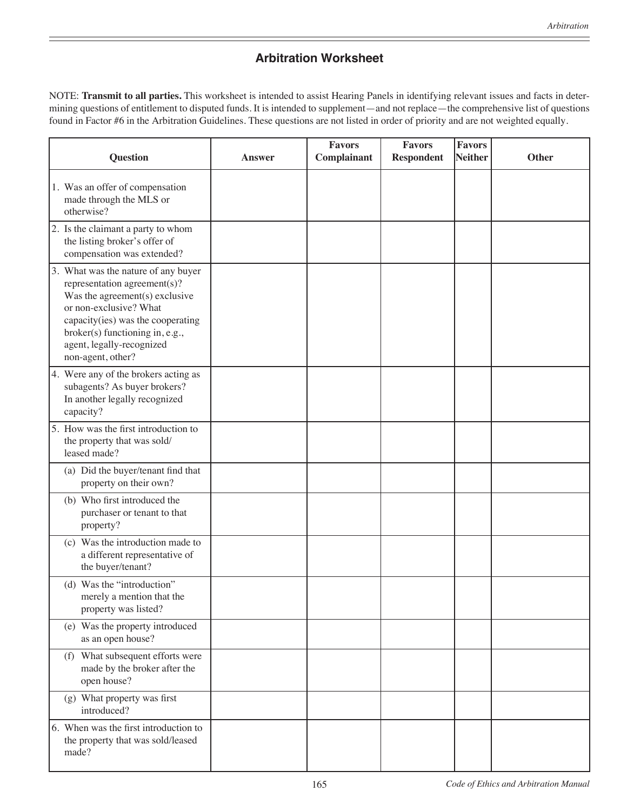# **Arbitration Worksheet**

NOTE: **Transmit to all parties.** This worksheet is intended to assist Hearing Panels in identifying relevant issues and facts in determining questions of entitlement to disputed funds. It is intended to supplement—and not replace—the comprehensive list of questions found in Factor #6 in the Arbitration Guidelines. These questions are not listed in order of priority and are not weighted equally.

| <b>Question</b>                                                                                                                                                                                                                                           | <b>Answer</b> | <b>Favors</b><br>Complainant | <b>Favors</b><br><b>Respondent</b> | <b>Favors</b><br>Neither | <b>Other</b> |
|-----------------------------------------------------------------------------------------------------------------------------------------------------------------------------------------------------------------------------------------------------------|---------------|------------------------------|------------------------------------|--------------------------|--------------|
| 1. Was an offer of compensation<br>made through the MLS or<br>otherwise?                                                                                                                                                                                  |               |                              |                                    |                          |              |
| 2. Is the claimant a party to whom<br>the listing broker's offer of<br>compensation was extended?                                                                                                                                                         |               |                              |                                    |                          |              |
| 3. What was the nature of any buyer<br>representation agreement(s)?<br>Was the agreement(s) exclusive<br>or non-exclusive? What<br>capacity(ies) was the cooperating<br>broker(s) functioning in, e.g.,<br>agent, legally-recognized<br>non-agent, other? |               |                              |                                    |                          |              |
| 4. Were any of the brokers acting as<br>subagents? As buyer brokers?<br>In another legally recognized<br>capacity?                                                                                                                                        |               |                              |                                    |                          |              |
| 5. How was the first introduction to<br>the property that was sold/<br>leased made?                                                                                                                                                                       |               |                              |                                    |                          |              |
| (a) Did the buyer/tenant find that<br>property on their own?                                                                                                                                                                                              |               |                              |                                    |                          |              |
| (b) Who first introduced the<br>purchaser or tenant to that<br>property?                                                                                                                                                                                  |               |                              |                                    |                          |              |
| (c) Was the introduction made to<br>a different representative of<br>the buyer/tenant?                                                                                                                                                                    |               |                              |                                    |                          |              |
| (d) Was the "introduction"<br>merely a mention that the<br>property was listed?                                                                                                                                                                           |               |                              |                                    |                          |              |
| (e) Was the property introduced<br>as an open house?                                                                                                                                                                                                      |               |                              |                                    |                          |              |
| (f) What subsequent efforts were<br>made by the broker after the<br>open house?                                                                                                                                                                           |               |                              |                                    |                          |              |
| (g) What property was first<br>introduced?                                                                                                                                                                                                                |               |                              |                                    |                          |              |
| 6. When was the first introduction to<br>the property that was sold/leased<br>made?                                                                                                                                                                       |               |                              |                                    |                          |              |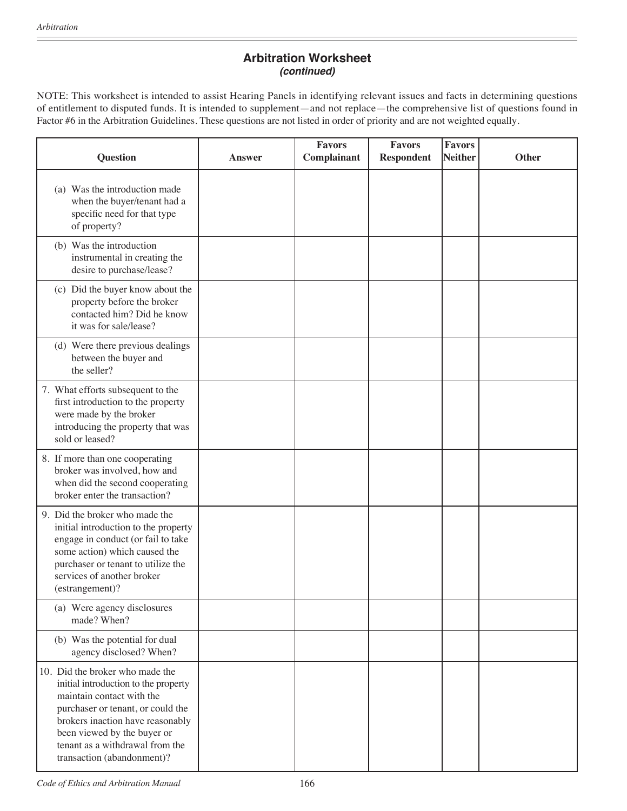# **Arbitration Worksheet** *(continued)*

NOTE: This worksheet is intended to assist Hearing Panels in identifying relevant issues and facts in determining questions of entitlement to disputed funds. It is intended to supplement—and not replace—the comprehensive list of questions found in Factor #6 in the Arbitration Guidelines. These questions are not listed in order of priority and are not weighted equally.

| <b>Question</b>                                                                                                                                                                                                                                                               | <b>Answer</b> | <b>Favors</b><br>Complainant | <b>Favors</b><br><b>Respondent</b> | <b>Favors</b><br><b>Neither</b> | <b>Other</b> |
|-------------------------------------------------------------------------------------------------------------------------------------------------------------------------------------------------------------------------------------------------------------------------------|---------------|------------------------------|------------------------------------|---------------------------------|--------------|
| (a) Was the introduction made<br>when the buyer/tenant had a<br>specific need for that type<br>of property?                                                                                                                                                                   |               |                              |                                    |                                 |              |
| (b) Was the introduction<br>instrumental in creating the<br>desire to purchase/lease?                                                                                                                                                                                         |               |                              |                                    |                                 |              |
| (c) Did the buyer know about the<br>property before the broker<br>contacted him? Did he know<br>it was for sale/lease?                                                                                                                                                        |               |                              |                                    |                                 |              |
| (d) Were there previous dealings<br>between the buyer and<br>the seller?                                                                                                                                                                                                      |               |                              |                                    |                                 |              |
| 7. What efforts subsequent to the<br>first introduction to the property<br>were made by the broker<br>introducing the property that was<br>sold or leased?                                                                                                                    |               |                              |                                    |                                 |              |
| 8. If more than one cooperating<br>broker was involved, how and<br>when did the second cooperating<br>broker enter the transaction?                                                                                                                                           |               |                              |                                    |                                 |              |
| 9. Did the broker who made the<br>initial introduction to the property<br>engage in conduct (or fail to take<br>some action) which caused the<br>purchaser or tenant to utilize the<br>services of another broker<br>(estrangement)?                                          |               |                              |                                    |                                 |              |
| (a) Were agency disclosures<br>made? When?                                                                                                                                                                                                                                    |               |                              |                                    |                                 |              |
| (b) Was the potential for dual<br>agency disclosed? When?                                                                                                                                                                                                                     |               |                              |                                    |                                 |              |
| 10. Did the broker who made the<br>initial introduction to the property<br>maintain contact with the<br>purchaser or tenant, or could the<br>brokers inaction have reasonably<br>been viewed by the buyer or<br>tenant as a withdrawal from the<br>transaction (abandonment)? |               |                              |                                    |                                 |              |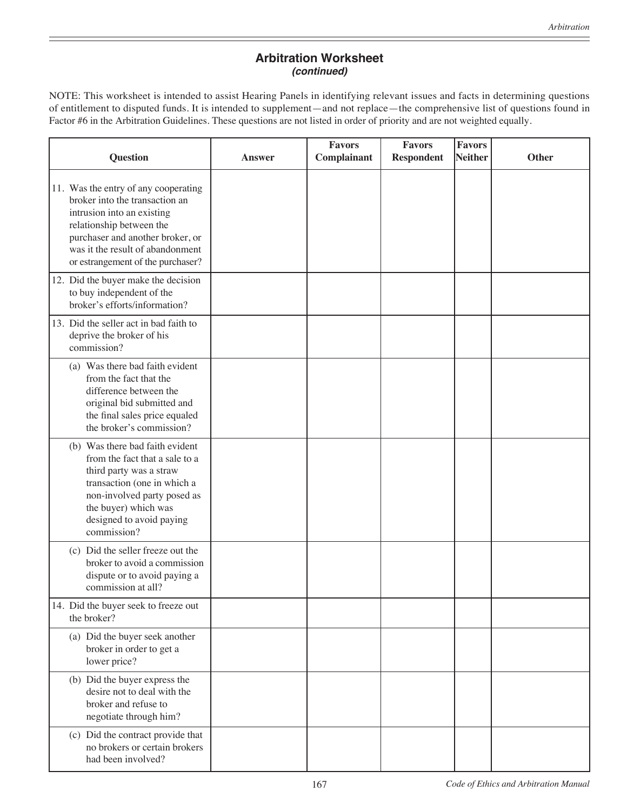# **Arbitration Worksheet** *(continued)*

NOTE: This worksheet is intended to assist Hearing Panels in identifying relevant issues and facts in determining questions of entitlement to disputed funds. It is intended to supplement—and not replace—the comprehensive list of questions found in Factor #6 in the Arbitration Guidelines. These questions are not listed in order of priority and are not weighted equally.

| <b>Question</b>                                                                                                                                                                                                                               | Answer | <b>Favors</b><br>Complainant | <b>Favors</b><br><b>Respondent</b> | <b>Favors</b><br><b>Neither</b> | <b>Other</b> |
|-----------------------------------------------------------------------------------------------------------------------------------------------------------------------------------------------------------------------------------------------|--------|------------------------------|------------------------------------|---------------------------------|--------------|
| 11. Was the entry of any cooperating<br>broker into the transaction an<br>intrusion into an existing<br>relationship between the<br>purchaser and another broker, or<br>was it the result of abandonment<br>or estrangement of the purchaser? |        |                              |                                    |                                 |              |
| 12. Did the buyer make the decision<br>to buy independent of the<br>broker's efforts/information?                                                                                                                                             |        |                              |                                    |                                 |              |
| 13. Did the seller act in bad faith to<br>deprive the broker of his<br>commission?                                                                                                                                                            |        |                              |                                    |                                 |              |
| (a) Was there bad faith evident<br>from the fact that the<br>difference between the<br>original bid submitted and<br>the final sales price equaled<br>the broker's commission?                                                                |        |                              |                                    |                                 |              |
| (b) Was there bad faith evident<br>from the fact that a sale to a<br>third party was a straw<br>transaction (one in which a<br>non-involved party posed as<br>the buyer) which was<br>designed to avoid paying<br>commission?                 |        |                              |                                    |                                 |              |
| (c) Did the seller freeze out the<br>broker to avoid a commission<br>dispute or to avoid paying a<br>commission at all?                                                                                                                       |        |                              |                                    |                                 |              |
| 14. Did the buyer seek to freeze out<br>the broker?                                                                                                                                                                                           |        |                              |                                    |                                 |              |
| (a) Did the buyer seek another<br>broker in order to get a<br>lower price?                                                                                                                                                                    |        |                              |                                    |                                 |              |
| (b) Did the buyer express the<br>desire not to deal with the<br>broker and refuse to<br>negotiate through him?                                                                                                                                |        |                              |                                    |                                 |              |
| (c) Did the contract provide that<br>no brokers or certain brokers<br>had been involved?                                                                                                                                                      |        |                              |                                    |                                 |              |